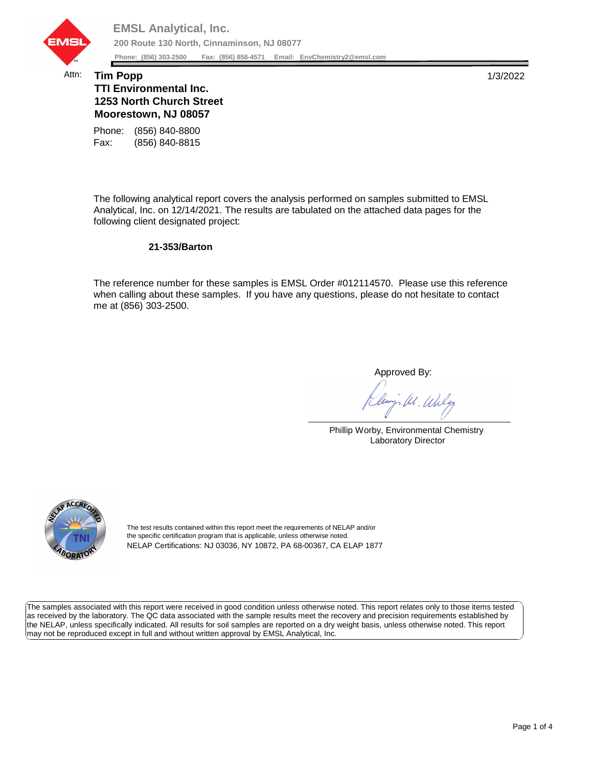

## Attn: **Tim Popp** 1/3/2022 **TTI Environmental Inc. 1253 North Church Street Moorestown, NJ 08057**

Fax: (856) 840-8815 Phone: (856) 840-8800

The following analytical report covers the analysis performed on samples submitted to EMSL Analytical, Inc. on 12/14/2021. The results are tabulated on the attached data pages for the following client designated project:

## **21-353/Barton**

The reference number for these samples is EMSL Order #012114570. Please use this reference when calling about these samples. If you have any questions, please do not hesitate to contact me at (856) 303-2500.

Approved By:

W. Whly

Phillip Worby, Environmental Chemistry Laboratory Director



The test results contained within this report meet the requirements of NELAP and/or the specific certification program that is applicable, unless otherwise noted. NELAP Certifications: NJ 03036, NY 10872, PA 68-00367, CA ELAP 1877

The samples associated with this report were received in good condition unless otherwise noted. This report relates only to those items tested as received by the laboratory. The QC data associated with the sample results meet the recovery and precision requirements established by the NELAP, unless specifically indicated. All results for soil samples are reported on a dry weight basis, unless otherwise noted. This report may not be reproduced except in full and without written approval by EMSL Analytical, Inc.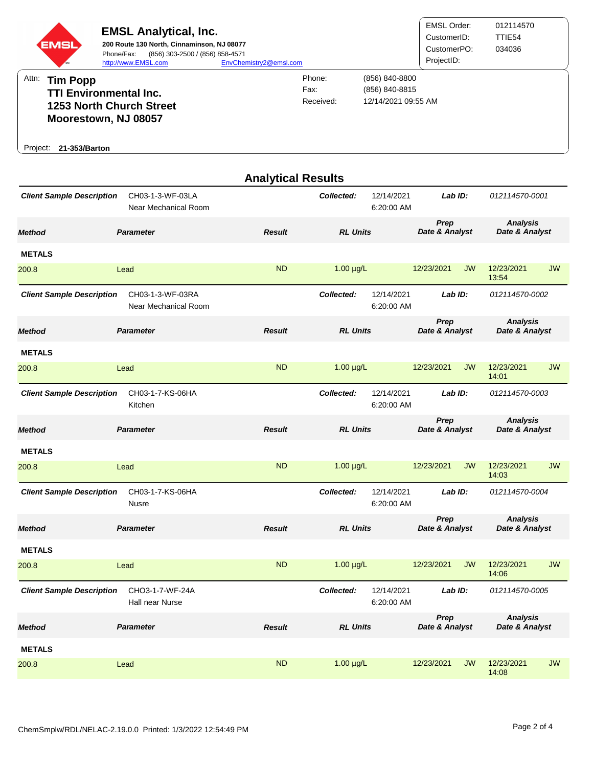

| <b>Analytical Results</b>        |                                          |               |                 |                                     |                        |           |                                   |           |  |
|----------------------------------|------------------------------------------|---------------|-----------------|-------------------------------------|------------------------|-----------|-----------------------------------|-----------|--|
| <b>Client Sample Description</b> | CH03-1-3-WF-03LA<br>Near Mechanical Room |               | Collected:      | 12/14/2021<br>6:20:00 AM            | Lab ID:                |           | 012114570-0001                    |           |  |
| Method                           | <b>Parameter</b>                         | <b>Result</b> | <b>RL Units</b> |                                     | Prep<br>Date & Analyst |           | <b>Analysis</b><br>Date & Analyst |           |  |
| <b>METALS</b>                    |                                          |               |                 |                                     |                        |           |                                   |           |  |
| 200.8                            | Lead                                     | <b>ND</b>     | $1.00 \mu g/L$  |                                     | 12/23/2021             | <b>JW</b> | 12/23/2021<br>13:54               | <b>JW</b> |  |
| <b>Client Sample Description</b> | CH03-1-3-WF-03RA<br>Near Mechanical Room |               | Collected:      | 12/14/2021<br>Lab ID:<br>6:20:00 AM |                        |           | 012114570-0002                    |           |  |
| Method                           | <b>Parameter</b>                         | <b>Result</b> | <b>RL Units</b> |                                     | Prep<br>Date & Analyst |           | <b>Analysis</b><br>Date & Analyst |           |  |
| <b>METALS</b>                    |                                          |               |                 |                                     |                        |           |                                   |           |  |
| 200.8                            | Lead                                     | <b>ND</b>     | $1.00 \mu g/L$  |                                     | 12/23/2021             | <b>JW</b> | 12/23/2021<br>14:01               | <b>JW</b> |  |
| <b>Client Sample Description</b> | CH03-1-7-KS-06HA<br>Kitchen              |               | Collected:      | 12/14/2021<br>6:20:00 AM            | Lab ID:                |           | 012114570-0003                    |           |  |
| Method                           | <b>Parameter</b>                         | <b>Result</b> | <b>RL Units</b> |                                     | Prep<br>Date & Analyst |           | <b>Analysis</b><br>Date & Analyst |           |  |
| <b>METALS</b>                    |                                          |               |                 |                                     |                        |           |                                   |           |  |
| 200.8                            | Lead                                     | <b>ND</b>     | $1.00 \mu g/L$  |                                     | 12/23/2021             | <b>JW</b> | 12/23/2021<br>14:03               | <b>JW</b> |  |
| <b>Client Sample Description</b> | CH03-1-7-KS-06HA<br>Nusre                |               | Collected:      | 12/14/2021<br>6:20:00 AM            | Lab ID:                |           | 012114570-0004                    |           |  |
| Method                           | <b>Parameter</b>                         | Result        | <b>RL Units</b> |                                     | Prep<br>Date & Analyst |           | <b>Analysis</b><br>Date & Analyst |           |  |
| <b>METALS</b>                    |                                          |               |                 |                                     |                        |           |                                   |           |  |
| 200.8                            | Lead                                     | <b>ND</b>     | $1.00 \mu g/L$  |                                     | 12/23/2021             | <b>JW</b> | 12/23/2021<br>14:06               | <b>JW</b> |  |
| <b>Client Sample Description</b> | CHO3-1-7-WF-24A<br>Hall near Nurse       |               | Collected:      | 12/14/2021<br>6:20:00 AM            | Lab ID:                |           | 012114570-0005                    |           |  |
| Method                           | <b>Parameter</b>                         | <b>Result</b> | <b>RL Units</b> |                                     | Prep<br>Date & Analyst |           | <b>Analysis</b><br>Date & Analyst |           |  |
| <b>METALS</b>                    |                                          |               |                 |                                     |                        |           |                                   |           |  |
| 200.8                            | Lead                                     | <b>ND</b>     | $1.00 \mu g/L$  |                                     | 12/23/2021             | JW        | 12/23/2021<br>14:08               | <b>JW</b> |  |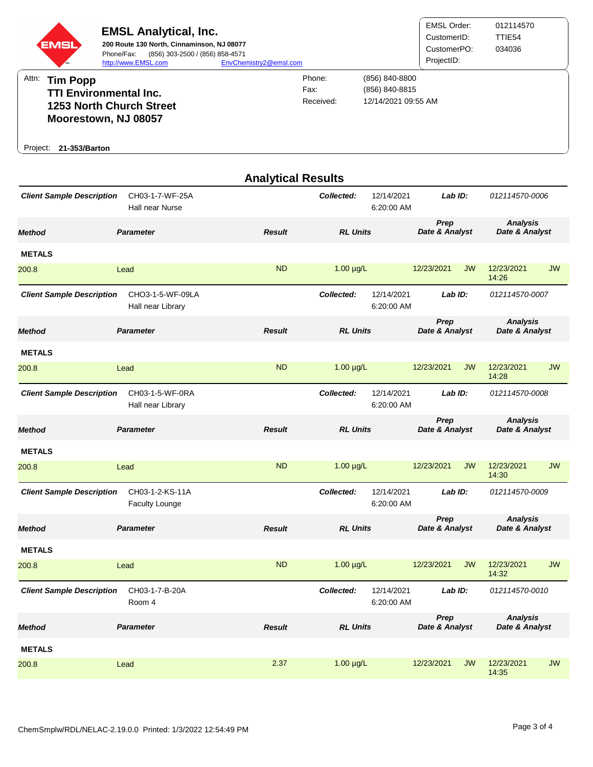

**21-353/Barton** Project:

|                                  |                                          | <b>Analytical Results</b> |                 |                          |                        |           |                                   |           |
|----------------------------------|------------------------------------------|---------------------------|-----------------|--------------------------|------------------------|-----------|-----------------------------------|-----------|
| <b>Client Sample Description</b> | CH03-1-7-WF-25A<br>Hall near Nurse       |                           | Collected:      | 12/14/2021<br>6:20:00 AM | Lab ID:                |           | 012114570-0006                    |           |
| <b>Method</b>                    | <b>Parameter</b>                         | <b>Result</b>             | <b>RL Units</b> |                          | Prep<br>Date & Analyst |           | <b>Analysis</b><br>Date & Analyst |           |
| <b>METALS</b>                    |                                          |                           |                 |                          |                        |           |                                   |           |
| 200.8                            | Lead                                     | <b>ND</b>                 | $1.00 \mu g/L$  |                          | 12/23/2021             | <b>JW</b> | 12/23/2021<br>14:26               | <b>JW</b> |
| <b>Client Sample Description</b> | CHO3-1-5-WF-09LA<br>Hall near Library    |                           | Collected:      | 12/14/2021<br>6:20:00 AM | Lab ID:                |           | 012114570-0007                    |           |
| <b>Method</b>                    | <b>Parameter</b>                         | <b>Result</b>             | <b>RL Units</b> |                          | Prep<br>Date & Analyst |           | <b>Analysis</b><br>Date & Analyst |           |
| <b>METALS</b>                    |                                          |                           |                 |                          |                        |           |                                   |           |
| 200.8                            | Lead                                     | <b>ND</b>                 | $1.00 \mu g/L$  |                          | 12/23/2021             | <b>JW</b> | 12/23/2021<br>14:28               | <b>JW</b> |
| <b>Client Sample Description</b> | CH03-1-5-WF-0RA<br>Hall near Library     |                           | Collected:      | 12/14/2021<br>6:20:00 AM | $Lab$ $ID:$            |           | 012114570-0008                    |           |
| <b>Method</b>                    | <b>Parameter</b>                         | <b>Result</b>             | <b>RL Units</b> |                          | Prep<br>Date & Analyst |           | <b>Analysis</b><br>Date & Analyst |           |
| <b>METALS</b>                    |                                          |                           |                 |                          |                        |           |                                   |           |
| 200.8                            | Lead                                     | <b>ND</b>                 | $1.00 \mu g/L$  |                          | 12/23/2021             | <b>JW</b> | 12/23/2021<br>14:30               | <b>JW</b> |
| <b>Client Sample Description</b> | CH03-1-2-KS-11A<br><b>Faculty Lounge</b> |                           | Collected:      | 12/14/2021<br>6:20:00 AM | Lab ID:                |           | 012114570-0009                    |           |
| <b>Method</b>                    | <b>Parameter</b>                         | <b>Result</b>             | <b>RL Units</b> |                          | Prep<br>Date & Analyst |           | <b>Analysis</b><br>Date & Analyst |           |
| <b>METALS</b>                    |                                          |                           |                 |                          |                        |           |                                   |           |
| 200.8                            | Lead                                     | <b>ND</b>                 | $1.00 \mu g/L$  |                          | 12/23/2021             | <b>JW</b> | 12/23/2021<br>14:32               | <b>JW</b> |
| <b>Client Sample Description</b> | CH03-1-7-B-20A<br>Room 4                 |                           | Collected:      | 12/14/2021<br>6:20:00 AM | $Lab$ $ID:$            |           | 012114570-0010                    |           |
| <b>Method</b>                    | <b>Parameter</b>                         | <b>Result</b>             | <b>RL Units</b> |                          | Prep<br>Date & Analyst |           | <b>Analysis</b><br>Date & Analyst |           |
| <b>METALS</b>                    |                                          |                           |                 |                          |                        |           |                                   |           |
| 200.8                            | Lead                                     | 2.37                      | $1.00 \mu g/L$  |                          | 12/23/2021             | <b>JW</b> | 12/23/2021<br>14:35               | <b>JW</b> |